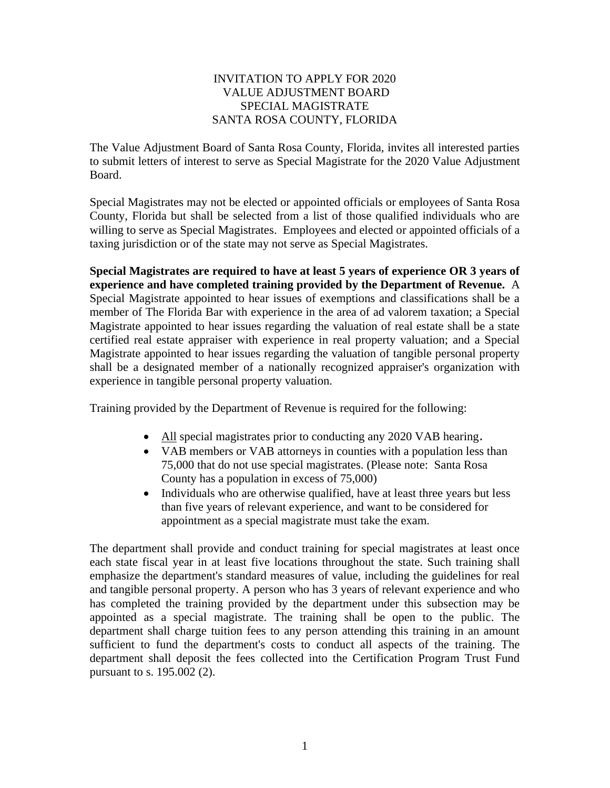## INVITATION TO APPLY FOR 2020 VALUE ADJUSTMENT BOARD SPECIAL MAGISTRATE SANTA ROSA COUNTY, FLORIDA

The Value Adjustment Board of Santa Rosa County, Florida, invites all interested parties to submit letters of interest to serve as Special Magistrate for the 2020 Value Adjustment Board.

Special Magistrates may not be elected or appointed officials or employees of Santa Rosa County, Florida but shall be selected from a list of those qualified individuals who are willing to serve as Special Magistrates. Employees and elected or appointed officials of a taxing jurisdiction or of the state may not serve as Special Magistrates.

**Special Magistrates are required to have at least 5 years of experience OR 3 years of experience and have completed training provided by the Department of Revenue.** A Special Magistrate appointed to hear issues of exemptions and classifications shall be a member of The Florida Bar with experience in the area of ad valorem taxation; a Special Magistrate appointed to hear issues regarding the valuation of real estate shall be a state certified real estate appraiser with experience in real property valuation; and a Special Magistrate appointed to hear issues regarding the valuation of tangible personal property shall be a designated member of a nationally recognized appraiser's organization with experience in tangible personal property valuation.

Training provided by the Department of Revenue is required for the following:

- All special magistrates prior to conducting any 2020 VAB hearing.
- VAB members or VAB attorneys in counties with a population less than 75,000 that do not use special magistrates. (Please note: Santa Rosa County has a population in excess of 75,000)
- Individuals who are otherwise qualified, have at least three years but less than five years of relevant experience, and want to be considered for appointment as a special magistrate must take the exam.

The department shall provide and conduct training for special magistrates at least once each state fiscal year in at least five locations throughout the state. Such training shall emphasize the department's standard measures of value, including the guidelines for real and tangible personal property. A person who has 3 years of relevant experience and who has completed the training provided by the department under this subsection may be appointed as a special magistrate. The training shall be open to the public. The department shall charge tuition fees to any person attending this training in an amount sufficient to fund the department's costs to conduct all aspects of the training. The department shall deposit the fees collected into the Certification Program Trust Fund pursuant to s. 195.002 (2).